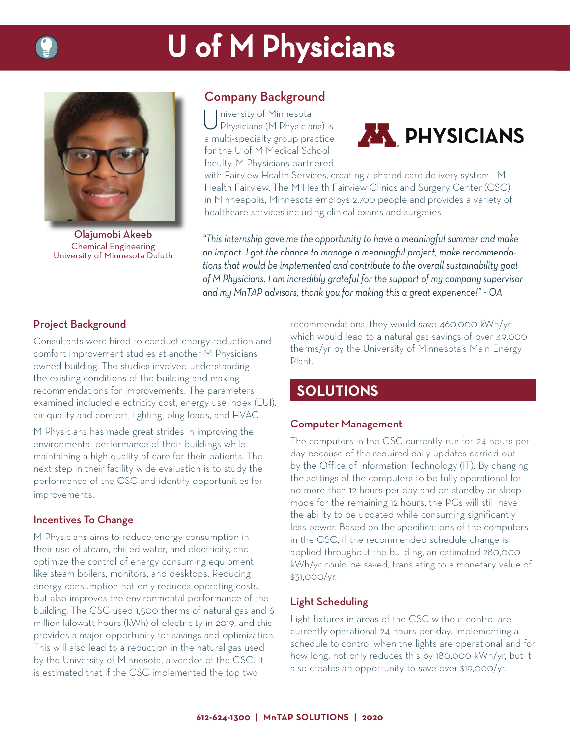# U of M Physicians



Olajumobi Akeeb Chemical Engineering University of Minnesota Duluth

#### Company Background

University of Minnesota<br>Physicians (M Physicians) is a multi-specialty group practice for the U of M Medical School faculty. M Physicians partnered



with Fairview Health Services, creating a shared care delivery system - M Health Fairview. The M Health Fairview Clinics and Surgery Center (CSC) in Minneapolis, Minnesota employs 2,700 people and provides a variety of healthcare services including clinical exams and surgeries.

*"This internship gave me the opportunity to have a meaningful summer and make an impact. I got the chance to manage a meaningful project, make recommendations that would be implemented and contribute to the overall sustainability goal of M Physicians. I am incredibly grateful for the support of my company supervisor and my MnTAP advisors, thank you for making this a great experience!" ~ OA*

#### Project Background

Consultants were hired to conduct energy reduction and comfort improvement studies at another M Physicians owned building. The studies involved understanding the existing conditions of the building and making recommendations for improvements. The parameters examined included electricity cost, energy use index (EUI), air quality and comfort, lighting, plug loads, and HVAC.

M Physicians has made great strides in improving the environmental performance of their buildings while maintaining a high quality of care for their patients. The next step in their facility wide evaluation is to study the performance of the CSC and identify opportunities for improvements.

#### Incentives To Change

M Physicians aims to reduce energy consumption in their use of steam, chilled water, and electricity, and optimize the control of energy consuming equipment like steam boilers, monitors, and desktops. Reducing energy consumption not only reduces operating costs, but also improves the environmental performance of the building. The CSC used 1,500 therms of natural gas and 6 million kilowatt hours (kWh) of electricity in 2019, and this provides a major opportunity for savings and optimization. This will also lead to a reduction in the natural gas used by the University of Minnesota, a vendor of the CSC. It is estimated that if the CSC implemented the top two

recommendations, they would save 460,000 kWh/yr which would lead to a natural gas savings of over 49,000 therms/yr by the University of Minnesota's Main Energy Plant.

### **SOLUTIONS**

#### Computer Management

The computers in the CSC currently run for 24 hours per day because of the required daily updates carried out by the Office of Information Technology (IT). By changing the settings of the computers to be fully operational for no more than 12 hours per day and on standby or sleep mode for the remaining 12 hours, the PCs will still have the ability to be updated while consuming significantly less power. Based on the specifications of the computers in the CSC, if the recommended schedule change is applied throughout the building, an estimated 280,000 kWh/yr could be saved, translating to a monetary value of \$31,000/yr.

#### Light Scheduling

Light fixtures in areas of the CSC without control are currently operational 24 hours per day. Implementing a schedule to control when the lights are operational and for how long, not only reduces this by 180,000 kWh/yr, but it also creates an opportunity to save over \$19,000/yr.